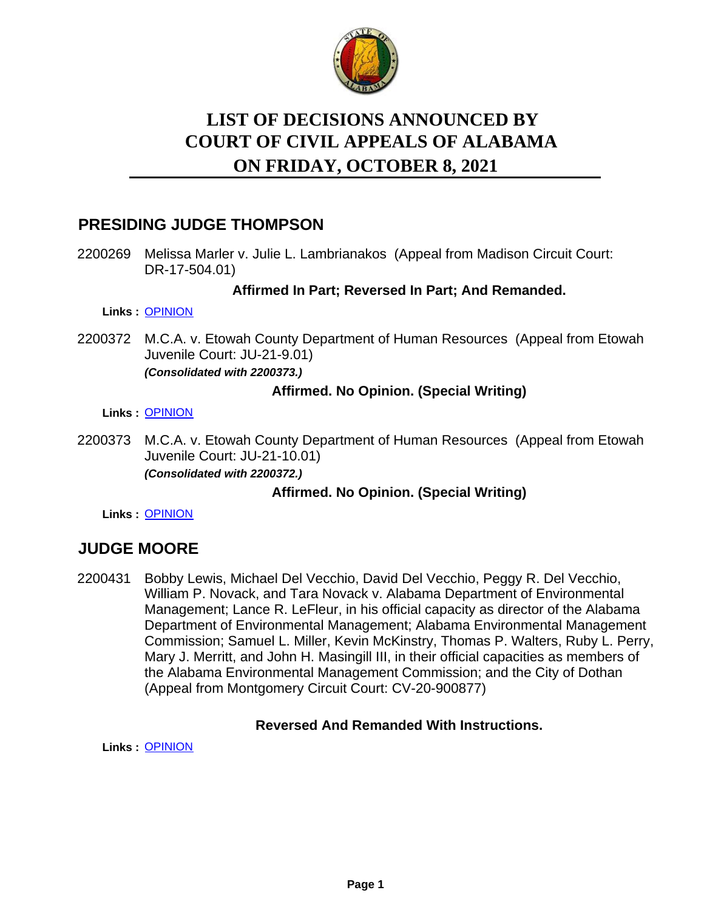

# **LIST OF DECISIONS ANNOUNCED BY ON FRIDAY, OCTOBER 8, 2021 COURT OF CIVIL APPEALS OF ALABAMA**

# **PRESIDING JUDGE THOMPSON**

2200269 Melissa Marler v. Julie L. Lambrianakos (Appeal from Madison Circuit Court: DR-17-504.01)

## **Affirmed In Part; Reversed In Part; And Remanded.**

**Links :** [OPINION](https://acis.alabama.gov/displaydocs.cfm?no=1101514&event=65W0MFJUM)

2200372 M.C.A. v. Etowah County Department of Human Resources (Appeal from Etowah Juvenile Court: JU-21-9.01) *(Consolidated with 2200373.)*

## **Affirmed. No Opinion. (Special Writing)**

**Links :** [OPINION](https://acis.alabama.gov/displaydocs.cfm?no=1101515&event=65W0MFJXJ)

2200373 M.C.A. v. Etowah County Department of Human Resources (Appeal from Etowah Juvenile Court: JU-21-10.01) *(Consolidated with 2200372.)*

# **Affirmed. No Opinion. (Special Writing)**

**Links :** [OPINION](https://acis.alabama.gov/displaydocs.cfm?no=1101515&event=65W0MFJXJ)

# **JUDGE MOORE**

2200431 Bobby Lewis, Michael Del Vecchio, David Del Vecchio, Peggy R. Del Vecchio, William P. Novack, and Tara Novack v. Alabama Department of Environmental Management; Lance R. LeFleur, in his official capacity as director of the Alabama Department of Environmental Management; Alabama Environmental Management Commission; Samuel L. Miller, Kevin McKinstry, Thomas P. Walters, Ruby L. Perry, Mary J. Merritt, and John H. Masingill III, in their official capacities as members of the Alabama Environmental Management Commission; and the City of Dothan (Appeal from Montgomery Circuit Court: CV-20-900877)

### **Reversed And Remanded With Instructions.**

**Links :** [OPINION](https://acis.alabama.gov/displaydocs.cfm?no=1101518&event=65W0MFK8J)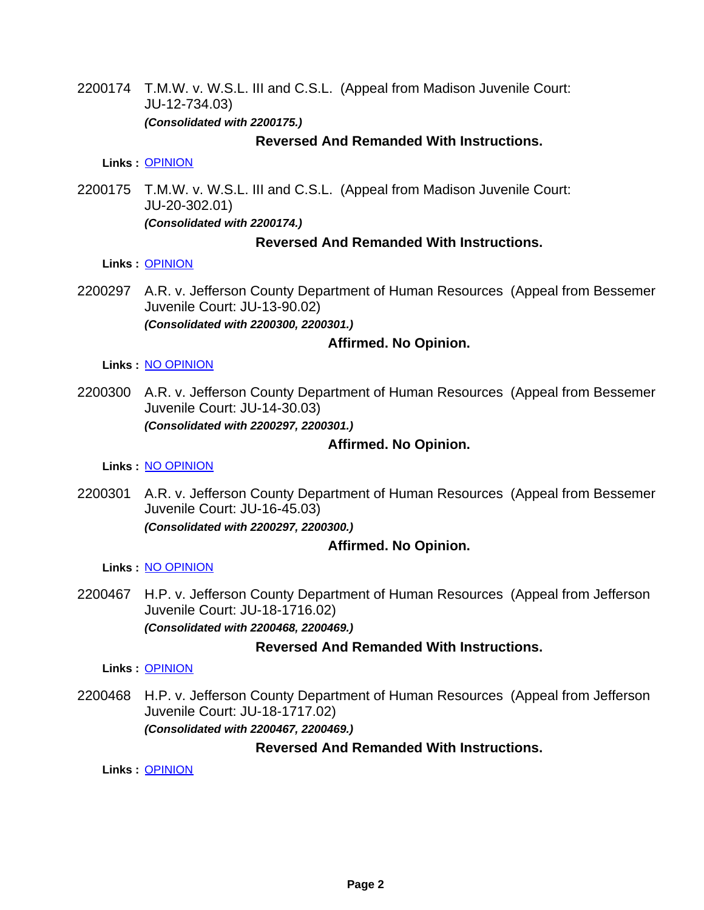2200174 T.M.W. v. W.S.L. III and C.S.L. (Appeal from Madison Juvenile Court: JU-12-734.03) *(Consolidated with 2200175.)*

#### **Reversed And Remanded With Instructions.**

**Links :** [OPINION](https://acis.alabama.gov/displaydocs.cfm?no=1101513&event=65W0MFJGR)

2200175 T.M.W. v. W.S.L. III and C.S.L. (Appeal from Madison Juvenile Court: JU-20-302.01) *(Consolidated with 2200174.)*

### **Reversed And Remanded With Instructions.**

#### **Links :** [OPINION](https://acis.alabama.gov/displaydocs.cfm?no=1101513&event=65W0MFJGR)

2200297 A.R. v. Jefferson County Department of Human Resources (Appeal from Bessemer Juvenile Court: JU-13-90.02) *(Consolidated with 2200300, 2200301.)*

### **Affirmed. No Opinion.**

#### **Links :** [NO OPINION](https://acis.alabama.gov/displaydocs.cfm?no=1101521&event=65W0MFKHD)

2200300 A.R. v. Jefferson County Department of Human Resources (Appeal from Bessemer Juvenile Court: JU-14-30.03) *(Consolidated with 2200297, 2200301.)*

## **Affirmed. No Opinion.**

**Links :** [NO OPINION](https://acis.alabama.gov/displaydocs.cfm?no=1101521&event=65W0MFKHD)

2200301 A.R. v. Jefferson County Department of Human Resources (Appeal from Bessemer Juvenile Court: JU-16-45.03) *(Consolidated with 2200297, 2200300.)*

### **Affirmed. No Opinion.**

#### **Links :** [NO OPINION](https://acis.alabama.gov/displaydocs.cfm?no=1101521&event=65W0MFKHD)

2200467 H.P. v. Jefferson County Department of Human Resources (Appeal from Jefferson Juvenile Court: JU-18-1716.02) *(Consolidated with 2200468, 2200469.)*

## **Reversed And Remanded With Instructions.**

**Links :** [OPINION](https://acis.alabama.gov/displaydocs.cfm?no=1101519&event=65W0MFKB5)

2200468 H.P. v. Jefferson County Department of Human Resources (Appeal from Jefferson Juvenile Court: JU-18-1717.02) *(Consolidated with 2200467, 2200469.)*

### **Reversed And Remanded With Instructions.**

**Links :** [OPINION](https://acis.alabama.gov/displaydocs.cfm?no=1101519&event=65W0MFKB5)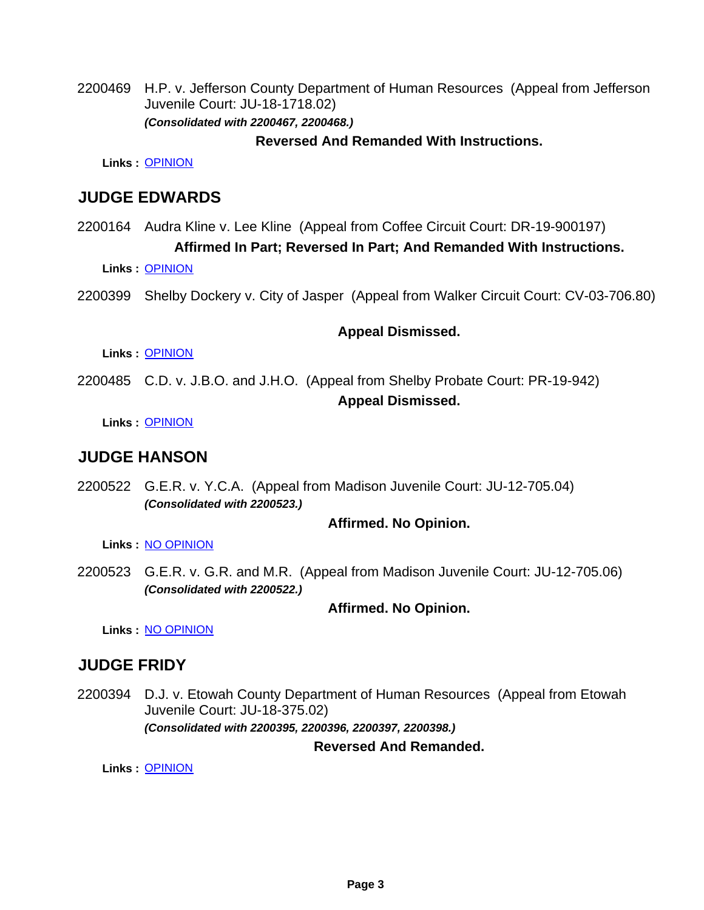2200469 H.P. v. Jefferson County Department of Human Resources (Appeal from Jefferson Juvenile Court: JU-18-1718.02) *(Consolidated with 2200467, 2200468.)*

#### **Reversed And Remanded With Instructions.**

**Links :** [OPINION](https://acis.alabama.gov/displaydocs.cfm?no=1101519&event=65W0MFKB5)

# **JUDGE EDWARDS**

- 2200164 Audra Kline v. Lee Kline (Appeal from Coffee Circuit Court: DR-19-900197) **Affirmed In Part; Reversed In Part; And Remanded With Instructions.**
	- **Links :** [OPINION](https://acis.alabama.gov/displaydocs.cfm?no=1101512&event=65W0MFJCG)
- 2200399 Shelby Dockery v. City of Jasper (Appeal from Walker Circuit Court: CV-03-706.80)

### **Appeal Dismissed.**

**Links :** [OPINION](https://acis.alabama.gov/displaydocs.cfm?no=1101517&event=65W0MFK5L)

2200485 C.D. v. J.B.O. and J.H.O. (Appeal from Shelby Probate Court: PR-19-942) **Appeal Dismissed.**

**Links :** [OPINION](https://acis.alabama.gov/displaydocs.cfm?no=1101520&event=65W0MFKEZ)

# **JUDGE HANSON**

2200522 G.E.R. v. Y.C.A. (Appeal from Madison Juvenile Court: JU-12-705.04) *(Consolidated with 2200523.)*

### **Affirmed. No Opinion.**

**Links :** [NO OPINION](https://acis.alabama.gov/displaydocs.cfm?no=1101523&event=65W0MFKOS)

2200523 G.E.R. v. G.R. and M.R. (Appeal from Madison Juvenile Court: JU-12-705.06) *(Consolidated with 2200522.)*

### **Affirmed. No Opinion.**

**Links :** [NO OPINION](https://acis.alabama.gov/displaydocs.cfm?no=1101523&event=65W0MFKOS)

# **JUDGE FRIDY**

2200394 D.J. v. Etowah County Department of Human Resources (Appeal from Etowah Juvenile Court: JU-18-375.02) *(Consolidated with 2200395, 2200396, 2200397, 2200398.)*

**Reversed And Remanded.**

**Links :** [OPINION](https://acis.alabama.gov/displaydocs.cfm?no=1101516&event=65W0MFK13)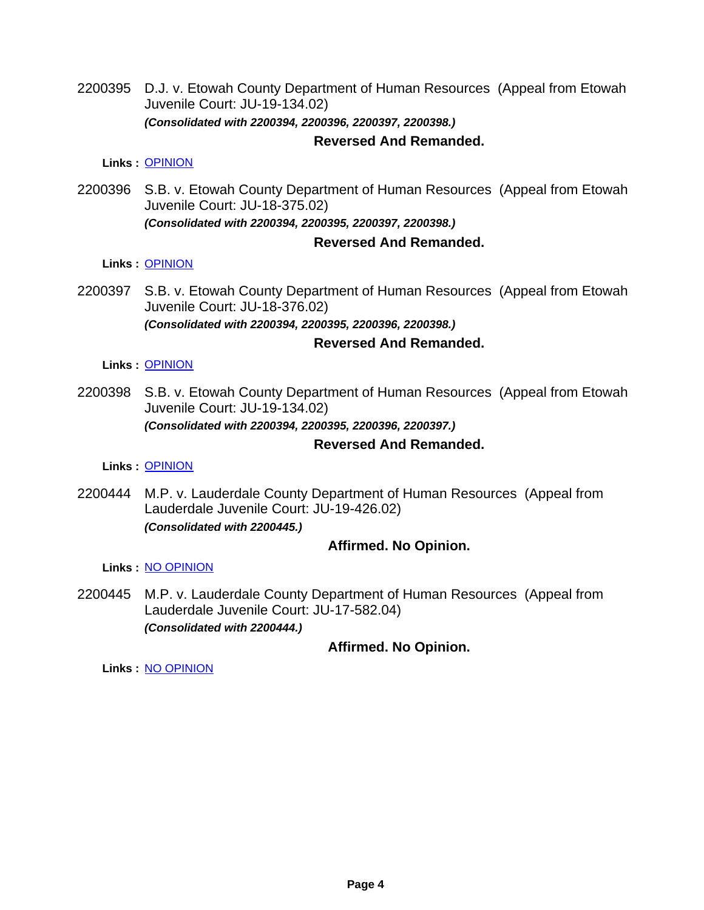2200395 D.J. v. Etowah County Department of Human Resources (Appeal from Etowah Juvenile Court: JU-19-134.02) *(Consolidated with 2200394, 2200396, 2200397, 2200398.)*

#### **Reversed And Remanded.**

**Links :** [OPINION](https://acis.alabama.gov/displaydocs.cfm?no=1101516&event=65W0MFK13)

2200396 S.B. v. Etowah County Department of Human Resources (Appeal from Etowah Juvenile Court: JU-18-375.02) *(Consolidated with 2200394, 2200395, 2200397, 2200398.)*

### **Reversed And Remanded.**

#### **Links :** [OPINION](https://acis.alabama.gov/displaydocs.cfm?no=1101516&event=65W0MFK13)

2200397 S.B. v. Etowah County Department of Human Resources (Appeal from Etowah Juvenile Court: JU-18-376.02) *(Consolidated with 2200394, 2200395, 2200396, 2200398.)*

### **Reversed And Remanded.**

**Links :** [OPINION](https://acis.alabama.gov/displaydocs.cfm?no=1101516&event=65W0MFK13)

2200398 S.B. v. Etowah County Department of Human Resources (Appeal from Etowah Juvenile Court: JU-19-134.02) *(Consolidated with 2200394, 2200395, 2200396, 2200397.)*

### **Reversed And Remanded.**

**Links :** [OPINION](https://acis.alabama.gov/displaydocs.cfm?no=1101516&event=65W0MFK13)

2200444 M.P. v. Lauderdale County Department of Human Resources (Appeal from Lauderdale Juvenile Court: JU-19-426.02) *(Consolidated with 2200445.)*

### **Affirmed. No Opinion.**

**Links :** [NO OPINION](https://acis.alabama.gov/displaydocs.cfm?no=1101522&event=65W0MFKLE)

2200445 M.P. v. Lauderdale County Department of Human Resources (Appeal from Lauderdale Juvenile Court: JU-17-582.04) *(Consolidated with 2200444.)*

### **Affirmed. No Opinion.**

**Links :** [NO OPINION](https://acis.alabama.gov/displaydocs.cfm?no=1101522&event=65W0MFKLE)